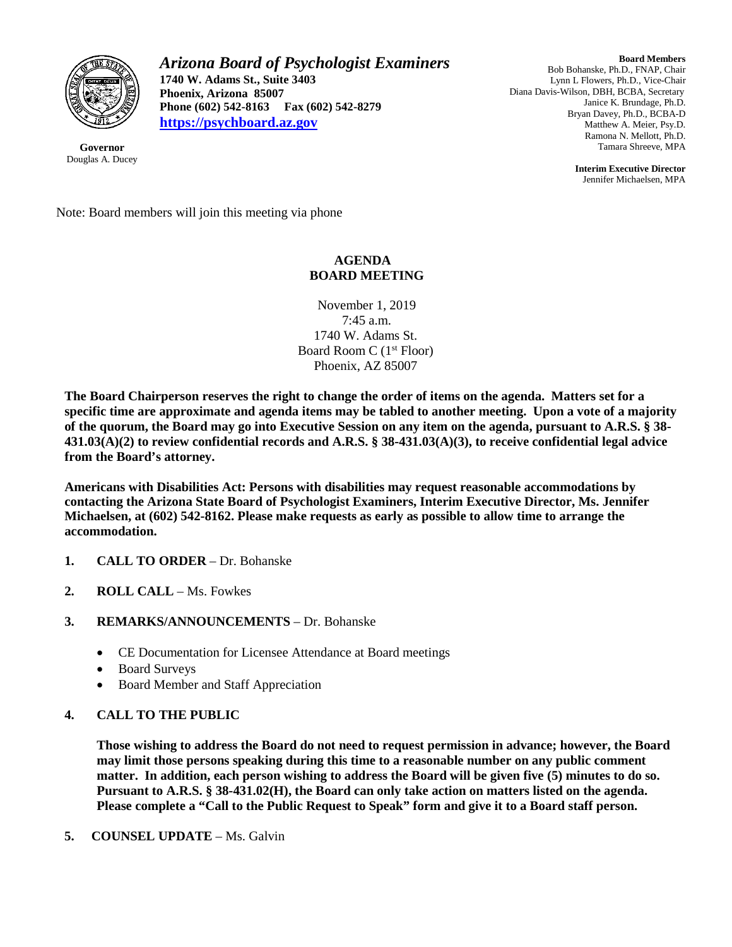

**Governor** Douglas A. Ducey *Arizona Board of Psychologist Examiners* **1740 W. Adams St., Suite 3403 Phoenix, Arizona 85007 Phone (602) 542-8163 Fax (602) 542-8279 [https://psychboard.az.gov](https://psychboard.az.gov/)**

**Board Members** Bob Bohanske, Ph.D., FNAP, Chair Lynn L Flowers, Ph.D., Vice-Chair Diana Davis-Wilson, DBH, BCBA, Secretary Janice K. Brundage, Ph.D. Bryan Davey, Ph.D., BCBA-D Matthew A. Meier, Psy.D. Ramona N. Mellott, Ph.D. Tamara Shreeve, MPA

> **Interim Executive Director** Jennifer Michaelsen, MPA

Note: Board members will join this meeting via phone

# **AGENDA BOARD MEETING**

November 1, 2019 7:45 a.m. 1740 W. Adams St. Board Room C (1st Floor) Phoenix, AZ 85007

**The Board Chairperson reserves the right to change the order of items on the agenda. Matters set for a specific time are approximate and agenda items may be tabled to another meeting. Upon a vote of a majority of the quorum, the Board may go into Executive Session on any item on the agenda, pursuant to A.R.S. § 38- 431.03(A)(2) to review confidential records and A.R.S. § 38-431.03(A)(3), to receive confidential legal advice from the Board's attorney.**

**Americans with Disabilities Act: Persons with disabilities may request reasonable accommodations by contacting the Arizona State Board of Psychologist Examiners, Interim Executive Director, Ms. Jennifer Michaelsen, at (602) 542-8162. Please make requests as early as possible to allow time to arrange the accommodation.**

- **1. CALL TO ORDER** Dr. Bohanske
- **2. ROLL CALL** Ms. Fowkes
- **3. REMARKS/ANNOUNCEMENTS** Dr. Bohanske
	- CE Documentation for Licensee Attendance at Board meetings
	- Board Surveys
	- Board Member and Staff Appreciation

## **4. CALL TO THE PUBLIC**

**Those wishing to address the Board do not need to request permission in advance; however, the Board may limit those persons speaking during this time to a reasonable number on any public comment matter. In addition, each person wishing to address the Board will be given five (5) minutes to do so. Pursuant to A.R.S. § 38-431.02(H), the Board can only take action on matters listed on the agenda. Please complete a "Call to the Public Request to Speak" form and give it to a Board staff person.**

**5. COUNSEL UPDATE** – Ms. Galvin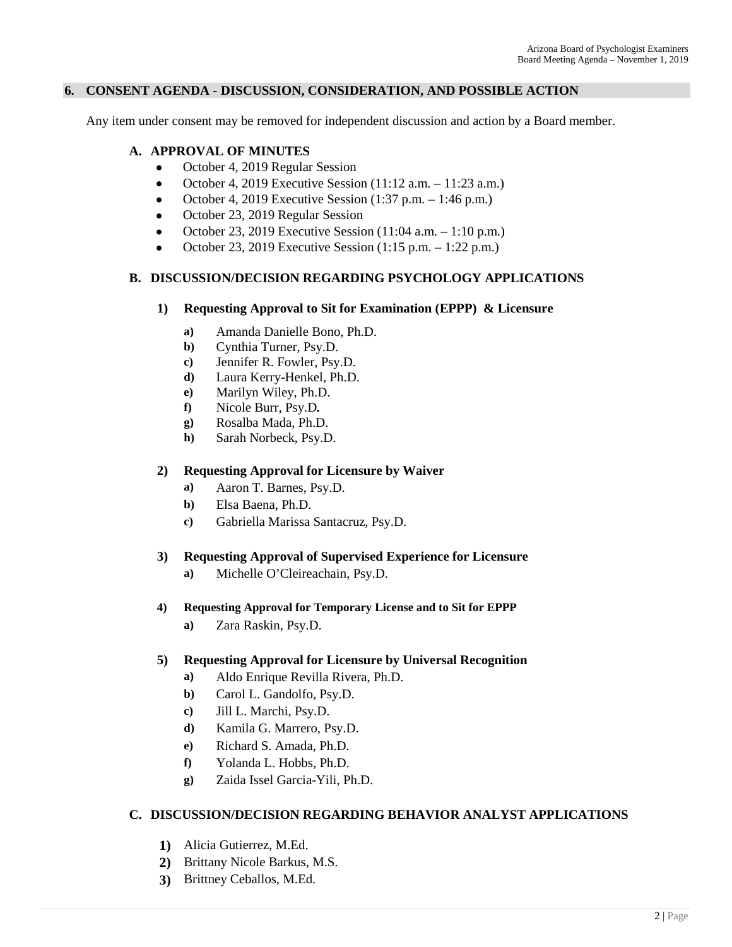#### **6. CONSENT AGENDA - DISCUSSION, CONSIDERATION, AND POSSIBLE ACTION**

Any item under consent may be removed for independent discussion and action by a Board member.

## **A. APPROVAL OF MINUTES**

- October 4, 2019 Regular Session
- October 4, 2019 Executive Session  $(11:12 \text{ a.m.} 11:23 \text{ a.m.})$
- October 4, 2019 Executive Session  $(1:37 \text{ p.m.} 1:46 \text{ p.m.})$
- October 23, 2019 Regular Session
- October 23, 2019 Executive Session  $(11:04 \text{ a.m.} 1:10 \text{ p.m.})$
- October 23, 2019 Executive Session  $(1:15 \text{ p.m.} 1:22 \text{ p.m.})$

# **B. DISCUSSION/DECISION REGARDING PSYCHOLOGY APPLICATIONS**

#### **1) Requesting Approval to Sit for Examination (EPPP) & Licensure**

- **a)** Amanda Danielle Bono, Ph.D.
- **b)** Cynthia Turner, Psy.D.
- **c)** Jennifer R. Fowler, Psy.D.
- **d)** Laura Kerry-Henkel, Ph.D.
- **e)** Marilyn Wiley, Ph.D.
- **f)** Nicole Burr, Psy.D*.*
- **g)** Rosalba Mada, Ph.D.
- **h)** Sarah Norbeck, Psy.D.

#### **2) Requesting Approval for Licensure by Waiver**

- **a)** Aaron T. Barnes, Psy.D.
- **b)** Elsa Baena, Ph.D.
- **c)** Gabriella Marissa Santacruz, Psy.D.

## **3) Requesting Approval of Supervised Experience for Licensure**

**a)** Michelle O'Cleireachain, Psy.D.

## **4) Requesting Approval for Temporary License and to Sit for EPPP**

**a)** Zara Raskin, Psy.D.

## **5) Requesting Approval for Licensure by Universal Recognition**

- **a)** Aldo Enrique Revilla Rivera, Ph.D.
- **b)** Carol L. Gandolfo, Psy.D.
- **c)** Jill L. Marchi, Psy.D.
- **d)** Kamila G. Marrero, Psy.D.
- **e)** Richard S. Amada, Ph.D.
- **f)** Yolanda L. Hobbs, Ph.D.
- **g)** Zaida Issel Garcia-Yili, Ph.D.

## **C. DISCUSSION/DECISION REGARDING BEHAVIOR ANALYST APPLICATIONS**

- **1)** Alicia Gutierrez, M.Ed.
- **2)** Brittany Nicole Barkus, M.S.
- **3)** Brittney Ceballos, M.Ed.